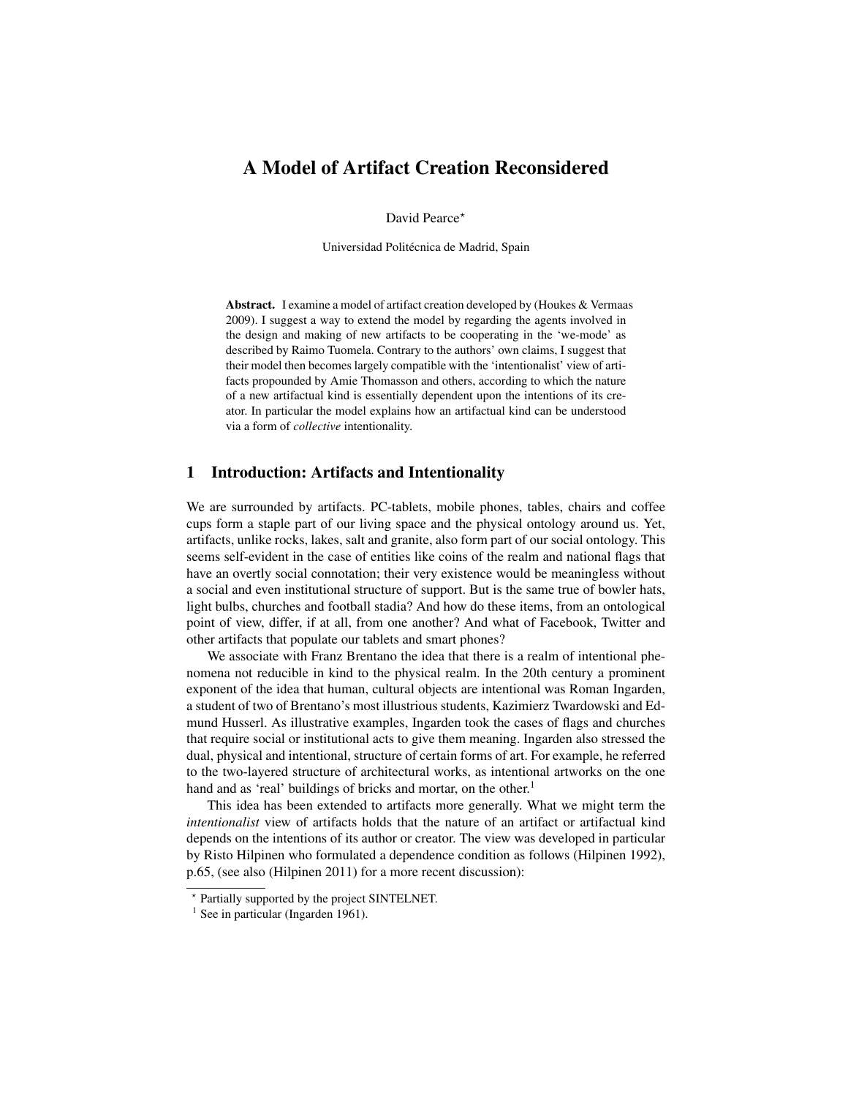# A Model of Artifact Creation Reconsidered

David Pearce<sup>\*</sup>

Universidad Politécnica de Madrid, Spain

Abstract. I examine a model of artifact creation developed by (Houkes & Vermaas 2009). I suggest a way to extend the model by regarding the agents involved in the design and making of new artifacts to be cooperating in the 'we-mode' as described by Raimo Tuomela. Contrary to the authors' own claims, I suggest that their model then becomes largely compatible with the 'intentionalist' view of artifacts propounded by Amie Thomasson and others, according to which the nature of a new artifactual kind is essentially dependent upon the intentions of its creator. In particular the model explains how an artifactual kind can be understood via a form of *collective* intentionality.

## 1 Introduction: Artifacts and Intentionality

We are surrounded by artifacts. PC-tablets, mobile phones, tables, chairs and coffee cups form a staple part of our living space and the physical ontology around us. Yet, artifacts, unlike rocks, lakes, salt and granite, also form part of our social ontology. This seems self-evident in the case of entities like coins of the realm and national flags that have an overtly social connotation; their very existence would be meaningless without a social and even institutional structure of support. But is the same true of bowler hats, light bulbs, churches and football stadia? And how do these items, from an ontological point of view, differ, if at all, from one another? And what of Facebook, Twitter and other artifacts that populate our tablets and smart phones?

We associate with Franz Brentano the idea that there is a realm of intentional phenomena not reducible in kind to the physical realm. In the 20th century a prominent exponent of the idea that human, cultural objects are intentional was Roman Ingarden, a student of two of Brentano's most illustrious students, Kazimierz Twardowski and Edmund Husserl. As illustrative examples, Ingarden took the cases of flags and churches that require social or institutional acts to give them meaning. Ingarden also stressed the dual, physical and intentional, structure of certain forms of art. For example, he referred to the two-layered structure of architectural works, as intentional artworks on the one hand and as 'real' buildings of bricks and mortar, on the other.<sup>1</sup>

This idea has been extended to artifacts more generally. What we might term the *intentionalist* view of artifacts holds that the nature of an artifact or artifactual kind depends on the intentions of its author or creator. The view was developed in particular by Risto Hilpinen who formulated a dependence condition as follows (Hilpinen 1992), p.65, (see also (Hilpinen 2011) for a more recent discussion):

<sup>?</sup> Partially supported by the project SINTELNET.

<sup>&</sup>lt;sup>1</sup> See in particular (Ingarden 1961).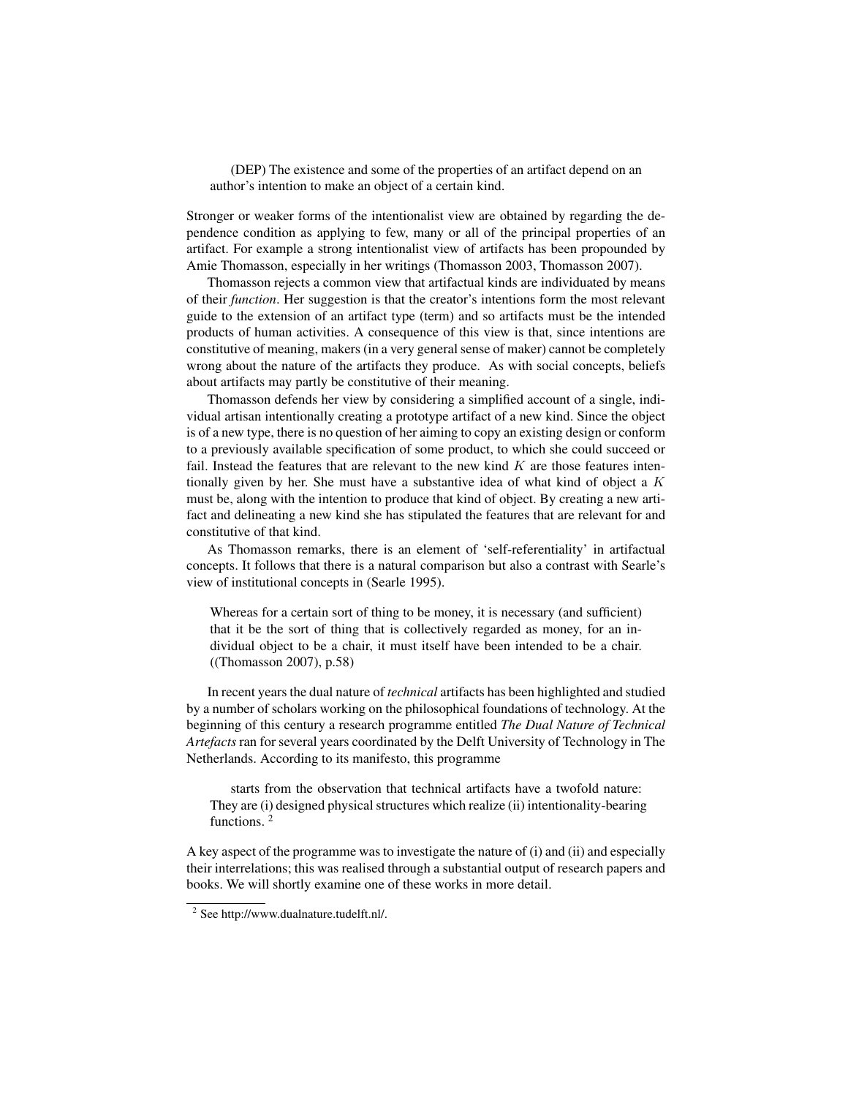(DEP) The existence and some of the properties of an artifact depend on an author's intention to make an object of a certain kind.

Stronger or weaker forms of the intentionalist view are obtained by regarding the dependence condition as applying to few, many or all of the principal properties of an artifact. For example a strong intentionalist view of artifacts has been propounded by Amie Thomasson, especially in her writings (Thomasson 2003, Thomasson 2007).

Thomasson rejects a common view that artifactual kinds are individuated by means of their *function*. Her suggestion is that the creator's intentions form the most relevant guide to the extension of an artifact type (term) and so artifacts must be the intended products of human activities. A consequence of this view is that, since intentions are constitutive of meaning, makers (in a very general sense of maker) cannot be completely wrong about the nature of the artifacts they produce. As with social concepts, beliefs about artifacts may partly be constitutive of their meaning.

Thomasson defends her view by considering a simplified account of a single, individual artisan intentionally creating a prototype artifact of a new kind. Since the object is of a new type, there is no question of her aiming to copy an existing design or conform to a previously available specification of some product, to which she could succeed or fail. Instead the features that are relevant to the new kind  $K$  are those features intentionally given by her. She must have a substantive idea of what kind of object a  $K$ must be, along with the intention to produce that kind of object. By creating a new artifact and delineating a new kind she has stipulated the features that are relevant for and constitutive of that kind.

As Thomasson remarks, there is an element of 'self-referentiality' in artifactual concepts. It follows that there is a natural comparison but also a contrast with Searle's view of institutional concepts in (Searle 1995).

Whereas for a certain sort of thing to be money, it is necessary (and sufficient) that it be the sort of thing that is collectively regarded as money, for an individual object to be a chair, it must itself have been intended to be a chair. ((Thomasson 2007), p.58)

In recent years the dual nature of *technical* artifacts has been highlighted and studied by a number of scholars working on the philosophical foundations of technology. At the beginning of this century a research programme entitled *The Dual Nature of Technical Artefacts* ran for several years coordinated by the Delft University of Technology in The Netherlands. According to its manifesto, this programme

starts from the observation that technical artifacts have a twofold nature: They are (i) designed physical structures which realize (ii) intentionality-bearing functions.<sup>2</sup>

A key aspect of the programme was to investigate the nature of (i) and (ii) and especially their interrelations; this was realised through a substantial output of research papers and books. We will shortly examine one of these works in more detail.

<sup>2</sup> See http://www.dualnature.tudelft.nl/.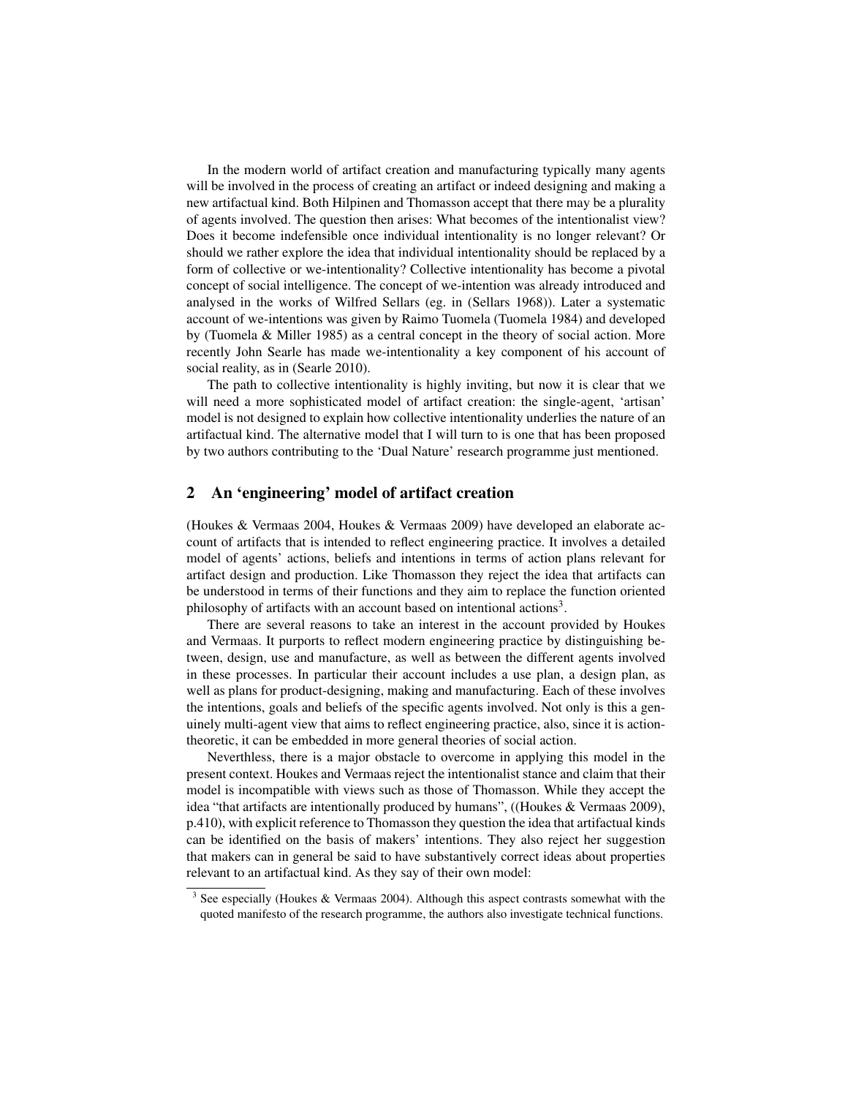In the modern world of artifact creation and manufacturing typically many agents will be involved in the process of creating an artifact or indeed designing and making a new artifactual kind. Both Hilpinen and Thomasson accept that there may be a plurality of agents involved. The question then arises: What becomes of the intentionalist view? Does it become indefensible once individual intentionality is no longer relevant? Or should we rather explore the idea that individual intentionality should be replaced by a form of collective or we-intentionality? Collective intentionality has become a pivotal concept of social intelligence. The concept of we-intention was already introduced and analysed in the works of Wilfred Sellars (eg. in (Sellars 1968)). Later a systematic account of we-intentions was given by Raimo Tuomela (Tuomela 1984) and developed by (Tuomela & Miller 1985) as a central concept in the theory of social action. More recently John Searle has made we-intentionality a key component of his account of social reality, as in (Searle 2010).

The path to collective intentionality is highly inviting, but now it is clear that we will need a more sophisticated model of artifact creation: the single-agent, 'artisan' model is not designed to explain how collective intentionality underlies the nature of an artifactual kind. The alternative model that I will turn to is one that has been proposed by two authors contributing to the 'Dual Nature' research programme just mentioned.

## 2 An 'engineering' model of artifact creation

(Houkes & Vermaas 2004, Houkes & Vermaas 2009) have developed an elaborate account of artifacts that is intended to reflect engineering practice. It involves a detailed model of agents' actions, beliefs and intentions in terms of action plans relevant for artifact design and production. Like Thomasson they reject the idea that artifacts can be understood in terms of their functions and they aim to replace the function oriented philosophy of artifacts with an account based on intentional actions<sup>3</sup>.

There are several reasons to take an interest in the account provided by Houkes and Vermaas. It purports to reflect modern engineering practice by distinguishing between, design, use and manufacture, as well as between the different agents involved in these processes. In particular their account includes a use plan, a design plan, as well as plans for product-designing, making and manufacturing. Each of these involves the intentions, goals and beliefs of the specific agents involved. Not only is this a genuinely multi-agent view that aims to reflect engineering practice, also, since it is actiontheoretic, it can be embedded in more general theories of social action.

Neverthless, there is a major obstacle to overcome in applying this model in the present context. Houkes and Vermaas reject the intentionalist stance and claim that their model is incompatible with views such as those of Thomasson. While they accept the idea "that artifacts are intentionally produced by humans", ((Houkes & Vermaas 2009), p.410), with explicit reference to Thomasson they question the idea that artifactual kinds can be identified on the basis of makers' intentions. They also reject her suggestion that makers can in general be said to have substantively correct ideas about properties relevant to an artifactual kind. As they say of their own model:

 $3$  See especially (Houkes & Vermaas 2004). Although this aspect contrasts somewhat with the quoted manifesto of the research programme, the authors also investigate technical functions.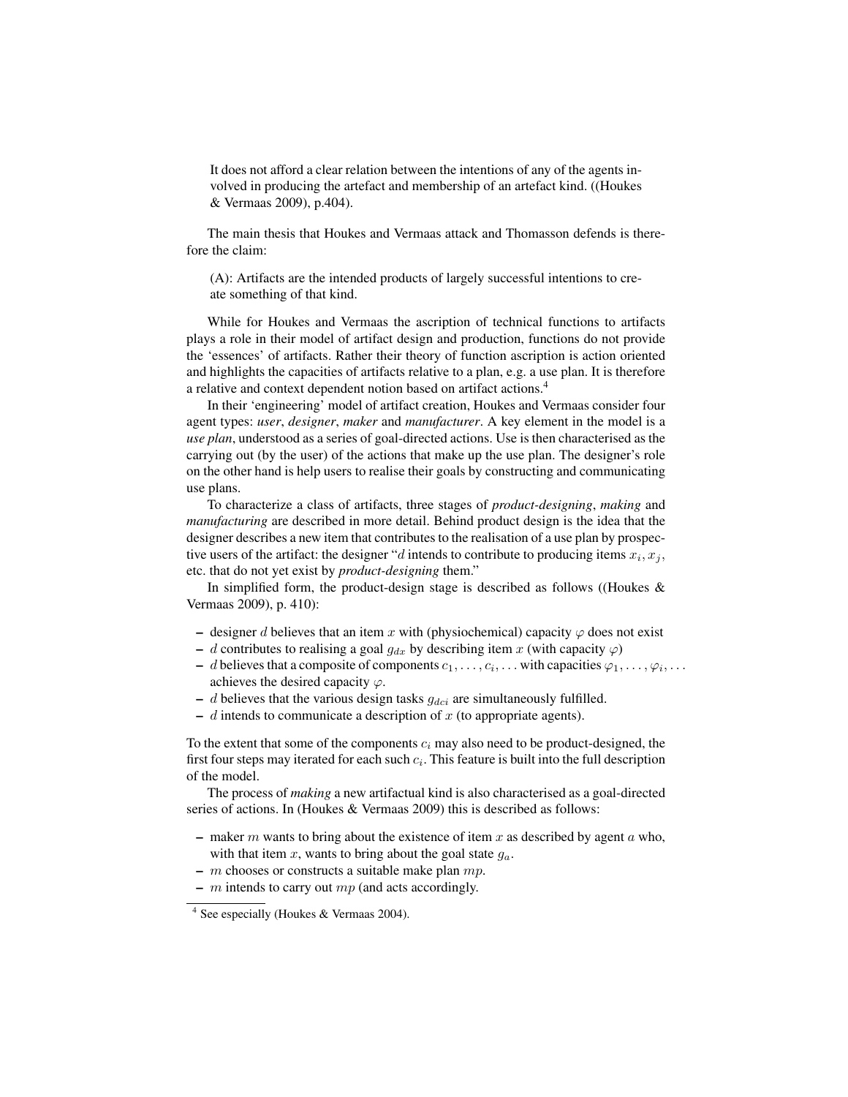It does not afford a clear relation between the intentions of any of the agents involved in producing the artefact and membership of an artefact kind. ((Houkes & Vermaas 2009), p.404).

The main thesis that Houkes and Vermaas attack and Thomasson defends is therefore the claim:

(A): Artifacts are the intended products of largely successful intentions to create something of that kind.

While for Houkes and Vermaas the ascription of technical functions to artifacts plays a role in their model of artifact design and production, functions do not provide the 'essences' of artifacts. Rather their theory of function ascription is action oriented and highlights the capacities of artifacts relative to a plan, e.g. a use plan. It is therefore a relative and context dependent notion based on artifact actions.<sup>4</sup>

In their 'engineering' model of artifact creation, Houkes and Vermaas consider four agent types: *user*, *designer*, *maker* and *manufacturer*. A key element in the model is a *use plan*, understood as a series of goal-directed actions. Use is then characterised as the carrying out (by the user) of the actions that make up the use plan. The designer's role on the other hand is help users to realise their goals by constructing and communicating use plans.

To characterize a class of artifacts, three stages of *product-designing*, *making* and *manufacturing* are described in more detail. Behind product design is the idea that the designer describes a new item that contributes to the realisation of a use plan by prospective users of the artifact: the designer "d intends to contribute to producing items  $x_i, x_j,$ etc. that do not yet exist by *product-designing* them."

In simplified form, the product-design stage is described as follows ((Houkes  $\&$ Vermaas 2009), p. 410):

- designer d believes that an item x with (physiochemical) capacity  $\varphi$  does not exist
- d contributes to realising a goal  $g_{dx}$  by describing item x (with capacity  $\varphi$ )
- $d$  believes that a composite of components  $c_1, \ldots, c_i, \ldots$  with capacities  $\varphi_1, \ldots, \varphi_i, \ldots$ achieves the desired capacity  $\varphi$ .
- $d$  believes that the various design tasks  $g_{dci}$  are simultaneously fulfilled.
- $d$  intends to communicate a description of  $x$  (to appropriate agents).

To the extent that some of the components  $c_i$  may also need to be product-designed, the first four steps may iterated for each such  $c_i$ . This feature is built into the full description of the model.

The process of *making* a new artifactual kind is also characterised as a goal-directed series of actions. In (Houkes & Vermaas 2009) this is described as follows:

- maker m wants to bring about the existence of item x as described by agent a who, with that item x, wants to bring about the goal state  $g_a$ .
- $-$  m chooses or constructs a suitable make plan mp.
- $m$  intends to carry out  $mp$  (and acts accordingly.

<sup>&</sup>lt;sup>4</sup> See especially (Houkes & Vermaas 2004).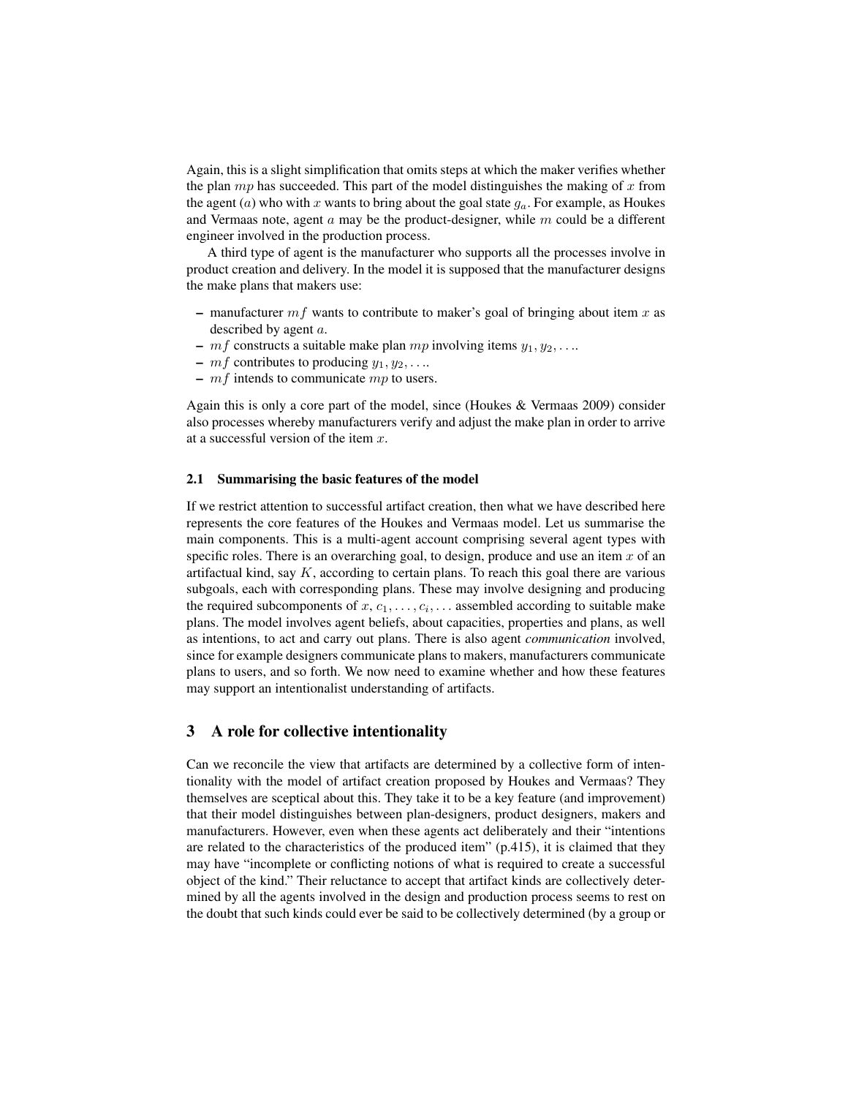Again, this is a slight simplification that omits steps at which the maker verifies whether the plan  $mp$  has succeeded. This part of the model distinguishes the making of  $x$  from the agent (a) who with x wants to bring about the goal state  $g_a$ . For example, as Houkes and Vermaas note, agent  $a$  may be the product-designer, while  $m$  could be a different engineer involved in the production process.

A third type of agent is the manufacturer who supports all the processes involve in product creation and delivery. In the model it is supposed that the manufacturer designs the make plans that makers use:

- manufacturer  $mf$  wants to contribute to maker's goal of bringing about item x as described by agent a.
- $mf$  constructs a suitable make plan  $mp$  involving items  $y_1, y_2, \ldots$
- $mf$  contributes to producing  $y_1, y_2, \ldots$
- $mf$  intends to communicate  $mp$  to users.

Again this is only a core part of the model, since (Houkes & Vermaas 2009) consider also processes whereby manufacturers verify and adjust the make plan in order to arrive at a successful version of the item x.

#### 2.1 Summarising the basic features of the model

If we restrict attention to successful artifact creation, then what we have described here represents the core features of the Houkes and Vermaas model. Let us summarise the main components. This is a multi-agent account comprising several agent types with specific roles. There is an overarching goal, to design, produce and use an item  $x$  of an artifactual kind, say  $K$ , according to certain plans. To reach this goal there are various subgoals, each with corresponding plans. These may involve designing and producing the required subcomponents of  $x, c_1, \ldots, c_i, \ldots$  assembled according to suitable make plans. The model involves agent beliefs, about capacities, properties and plans, as well as intentions, to act and carry out plans. There is also agent *communication* involved, since for example designers communicate plans to makers, manufacturers communicate plans to users, and so forth. We now need to examine whether and how these features may support an intentionalist understanding of artifacts.

## 3 A role for collective intentionality

Can we reconcile the view that artifacts are determined by a collective form of intentionality with the model of artifact creation proposed by Houkes and Vermaas? They themselves are sceptical about this. They take it to be a key feature (and improvement) that their model distinguishes between plan-designers, product designers, makers and manufacturers. However, even when these agents act deliberately and their "intentions are related to the characteristics of the produced item" (p.415), it is claimed that they may have "incomplete or conflicting notions of what is required to create a successful object of the kind." Their reluctance to accept that artifact kinds are collectively determined by all the agents involved in the design and production process seems to rest on the doubt that such kinds could ever be said to be collectively determined (by a group or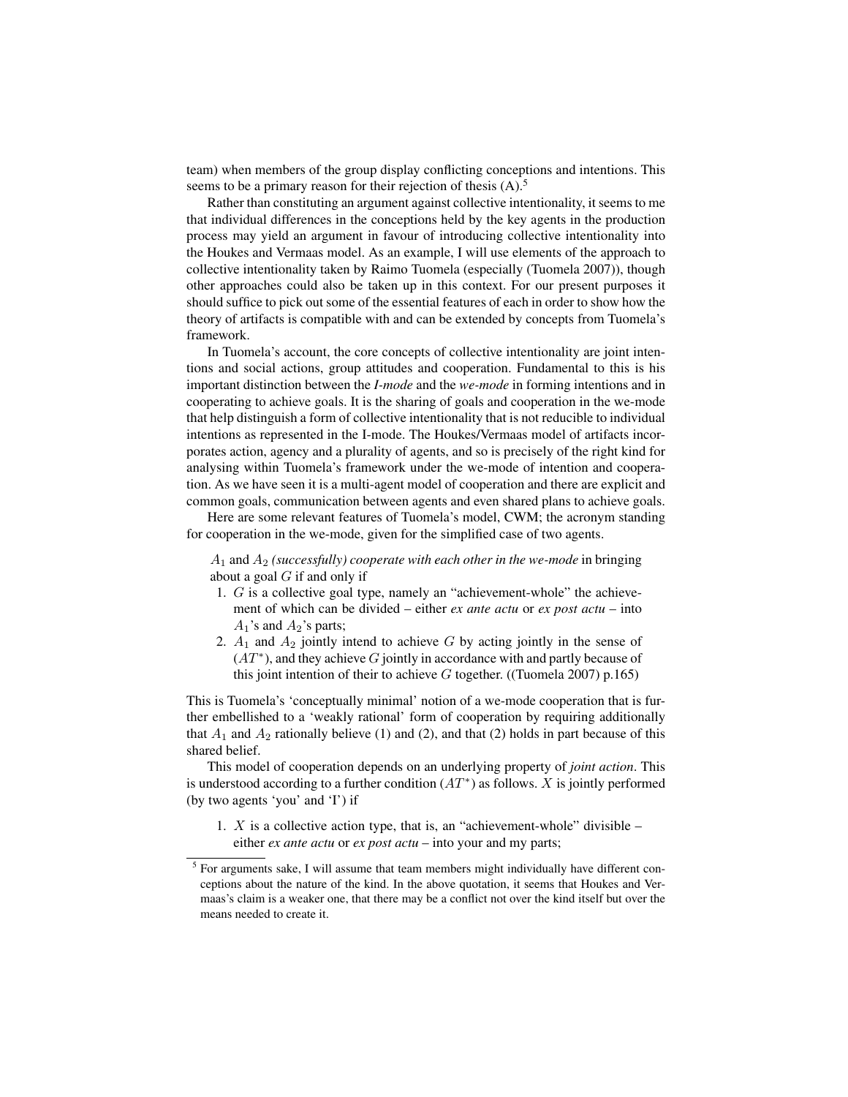team) when members of the group display conflicting conceptions and intentions. This seems to be a primary reason for their rejection of thesis (A).<sup>5</sup>

Rather than constituting an argument against collective intentionality, it seems to me that individual differences in the conceptions held by the key agents in the production process may yield an argument in favour of introducing collective intentionality into the Houkes and Vermaas model. As an example, I will use elements of the approach to collective intentionality taken by Raimo Tuomela (especially (Tuomela 2007)), though other approaches could also be taken up in this context. For our present purposes it should suffice to pick out some of the essential features of each in order to show how the theory of artifacts is compatible with and can be extended by concepts from Tuomela's framework.

In Tuomela's account, the core concepts of collective intentionality are joint intentions and social actions, group attitudes and cooperation. Fundamental to this is his important distinction between the *I-mode* and the *we-mode* in forming intentions and in cooperating to achieve goals. It is the sharing of goals and cooperation in the we-mode that help distinguish a form of collective intentionality that is not reducible to individual intentions as represented in the I-mode. The Houkes/Vermaas model of artifacts incorporates action, agency and a plurality of agents, and so is precisely of the right kind for analysing within Tuomela's framework under the we-mode of intention and cooperation. As we have seen it is a multi-agent model of cooperation and there are explicit and common goals, communication between agents and even shared plans to achieve goals.

Here are some relevant features of Tuomela's model, CWM; the acronym standing for cooperation in the we-mode, given for the simplified case of two agents.

A<sup>1</sup> and A<sup>2</sup> *(successfully) cooperate with each other in the we-mode* in bringing about a goal  $G$  if and only if

- 1. G is a collective goal type, namely an "achievement-whole" the achievement of which can be divided – either *ex ante actu* or *ex post actu* – into  $A_1$ 's and  $A_2$ 's parts;
- 2.  $A_1$  and  $A_2$  jointly intend to achieve G by acting jointly in the sense of  $(AT^*)$ , and they achieve G jointly in accordance with and partly because of this joint intention of their to achieve  $G$  together. ((Tuomela 2007) p.165)

This is Tuomela's 'conceptually minimal' notion of a we-mode cooperation that is further embellished to a 'weakly rational' form of cooperation by requiring additionally that  $A_1$  and  $A_2$  rationally believe (1) and (2), and that (2) holds in part because of this shared belief.

This model of cooperation depends on an underlying property of *joint action*. This is understood according to a further condition  $(AT^*)$  as follows. X is jointly performed (by two agents 'you' and 'I') if

1.  $X$  is a collective action type, that is, an "achievement-whole" divisible  $$ either *ex ante actu* or *ex post actu* – into your and my parts;

<sup>&</sup>lt;sup>5</sup> For arguments sake, I will assume that team members might individually have different conceptions about the nature of the kind. In the above quotation, it seems that Houkes and Vermaas's claim is a weaker one, that there may be a conflict not over the kind itself but over the means needed to create it.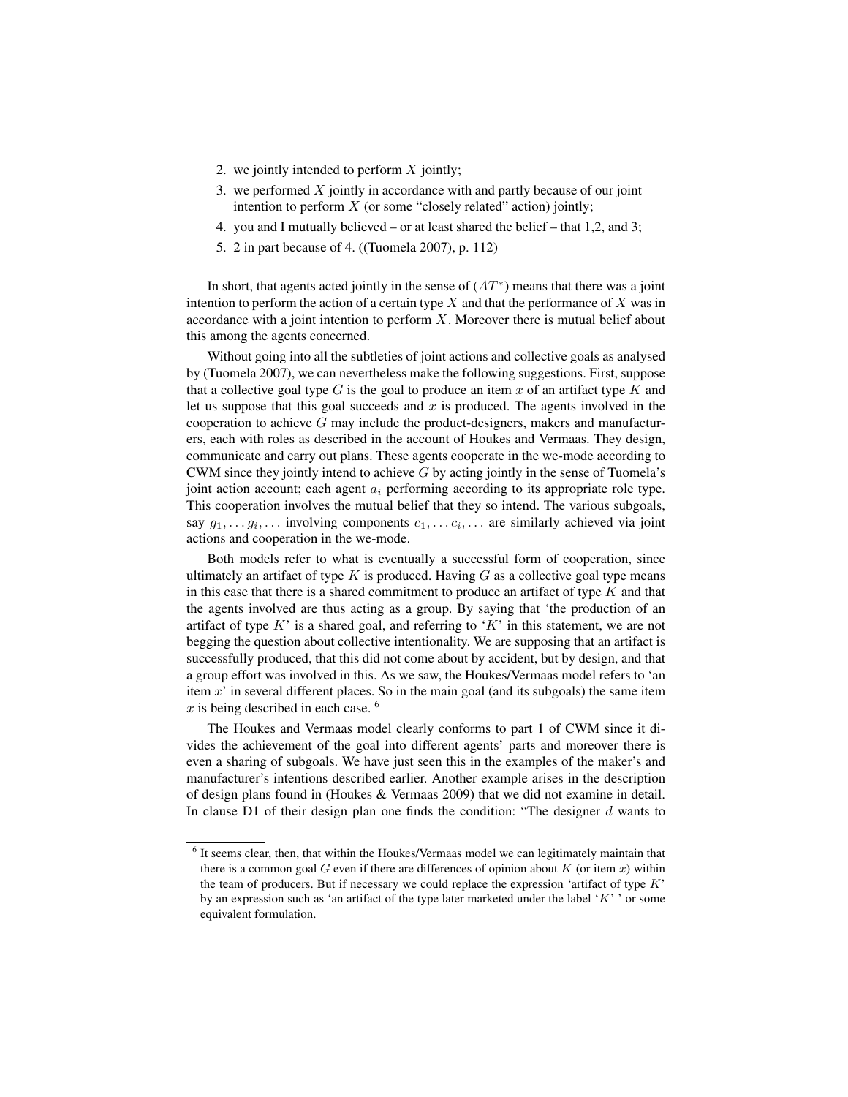- 2. we jointly intended to perform  $X$  jointly;
- 3. we performed  $X$  jointly in accordance with and partly because of our joint intention to perform  $X$  (or some "closely related" action) jointly;
- 4. you and I mutually believed or at least shared the belief that 1,2, and 3;
- 5. 2 in part because of 4. ((Tuomela 2007), p. 112)

In short, that agents acted jointly in the sense of  $(AT^*)$  means that there was a joint intention to perform the action of a certain type  $X$  and that the performance of  $X$  was in accordance with a joint intention to perform  $X$ . Moreover there is mutual belief about this among the agents concerned.

Without going into all the subtleties of joint actions and collective goals as analysed by (Tuomela 2007), we can nevertheless make the following suggestions. First, suppose that a collective goal type  $G$  is the goal to produce an item  $x$  of an artifact type  $K$  and let us suppose that this goal succeeds and  $x$  is produced. The agents involved in the cooperation to achieve  $G$  may include the product-designers, makers and manufacturers, each with roles as described in the account of Houkes and Vermaas. They design, communicate and carry out plans. These agents cooperate in the we-mode according to CWM since they jointly intend to achieve  $G$  by acting jointly in the sense of Tuomela's joint action account; each agent  $a_i$  performing according to its appropriate role type. This cooperation involves the mutual belief that they so intend. The various subgoals, say  $g_1, \ldots, g_i, \ldots$  involving components  $c_1, \ldots, c_i, \ldots$  are similarly achieved via joint actions and cooperation in the we-mode.

Both models refer to what is eventually a successful form of cooperation, since ultimately an artifact of type  $K$  is produced. Having  $G$  as a collective goal type means in this case that there is a shared commitment to produce an artifact of type  $K$  and that the agents involved are thus acting as a group. By saying that 'the production of an artifact of type  $K'$  is a shared goal, and referring to ' $K'$ ' in this statement, we are not begging the question about collective intentionality. We are supposing that an artifact is successfully produced, that this did not come about by accident, but by design, and that a group effort was involved in this. As we saw, the Houkes/Vermaas model refers to 'an item  $x'$  in several different places. So in the main goal (and its subgoals) the same item x is being described in each case.  $6$ 

The Houkes and Vermaas model clearly conforms to part 1 of CWM since it divides the achievement of the goal into different agents' parts and moreover there is even a sharing of subgoals. We have just seen this in the examples of the maker's and manufacturer's intentions described earlier. Another example arises in the description of design plans found in (Houkes & Vermaas 2009) that we did not examine in detail. In clause D1 of their design plan one finds the condition: "The designer  $d$  wants to

<sup>&</sup>lt;sup>6</sup> It seems clear, then, that within the Houkes/Vermaas model we can legitimately maintain that there is a common goal  $G$  even if there are differences of opinion about  $K$  (or item  $x$ ) within the team of producers. But if necessary we could replace the expression 'artifact of type  $K$ ' by an expression such as 'an artifact of the type later marketed under the label ' $K'$  ' or some equivalent formulation.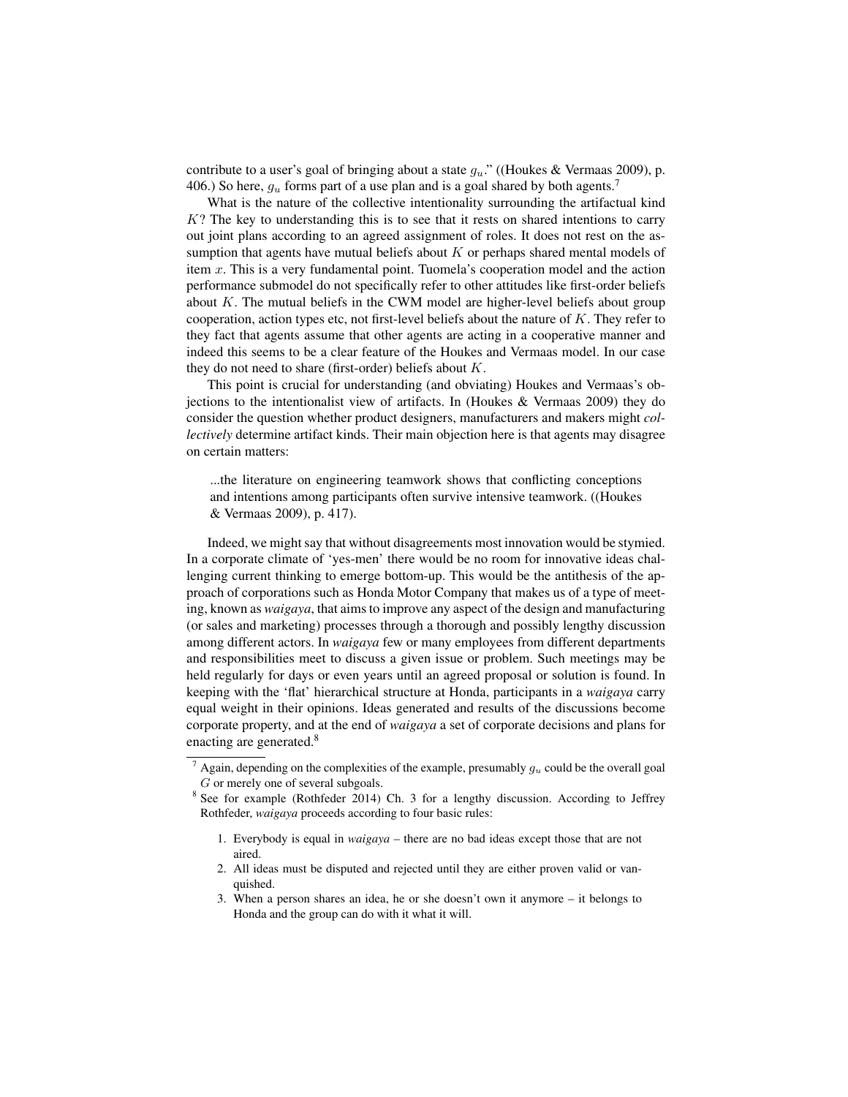contribute to a user's goal of bringing about a state  $g_u$ ." ((Houkes & Vermaas 2009), p. 406.) So here,  $g_u$  forms part of a use plan and is a goal shared by both agents.<sup>7</sup>

What is the nature of the collective intentionality surrounding the artifactual kind  $K$ ? The key to understanding this is to see that it rests on shared intentions to carry out joint plans according to an agreed assignment of roles. It does not rest on the assumption that agents have mutual beliefs about  $K$  or perhaps shared mental models of item x. This is a very fundamental point. Tuomela's cooperation model and the action performance submodel do not specifically refer to other attitudes like first-order beliefs about  $K$ . The mutual beliefs in the CWM model are higher-level beliefs about group cooperation, action types etc, not first-level beliefs about the nature of  $K$ . They refer to they fact that agents assume that other agents are acting in a cooperative manner and indeed this seems to be a clear feature of the Houkes and Vermaas model. In our case they do not need to share (first-order) beliefs about  $K$ .

This point is crucial for understanding (and obviating) Houkes and Vermaas's objections to the intentionalist view of artifacts. In (Houkes & Vermaas 2009) they do consider the question whether product designers, manufacturers and makers might *collectively* determine artifact kinds. Their main objection here is that agents may disagree on certain matters:

...the literature on engineering teamwork shows that conflicting conceptions and intentions among participants often survive intensive teamwork. ((Houkes & Vermaas 2009), p. 417).

Indeed, we might say that without disagreements most innovation would be stymied. In a corporate climate of 'yes-men' there would be no room for innovative ideas challenging current thinking to emerge bottom-up. This would be the antithesis of the approach of corporations such as Honda Motor Company that makes us of a type of meeting, known as *waigaya*, that aims to improve any aspect of the design and manufacturing (or sales and marketing) processes through a thorough and possibly lengthy discussion among different actors. In *waigaya* few or many employees from different departments and responsibilities meet to discuss a given issue or problem. Such meetings may be held regularly for days or even years until an agreed proposal or solution is found. In keeping with the 'flat' hierarchical structure at Honda, participants in a *waigaya* carry equal weight in their opinions. Ideas generated and results of the discussions become corporate property, and at the end of *waigaya* a set of corporate decisions and plans for enacting are generated.<sup>8</sup>

- 1. Everybody is equal in *waigaya* there are no bad ideas except those that are not aired.
- 2. All ideas must be disputed and rejected until they are either proven valid or vanquished.
- 3. When a person shares an idea, he or she doesn't own it anymore it belongs to Honda and the group can do with it what it will.

<sup>&</sup>lt;sup>7</sup> Again, depending on the complexities of the example, presumably  $g_u$  could be the overall goal G or merely one of several subgoals.

<sup>&</sup>lt;sup>8</sup> See for example (Rothfeder 2014) Ch. 3 for a lengthy discussion. According to Jeffrey Rothfeder, *waigaya* proceeds according to four basic rules: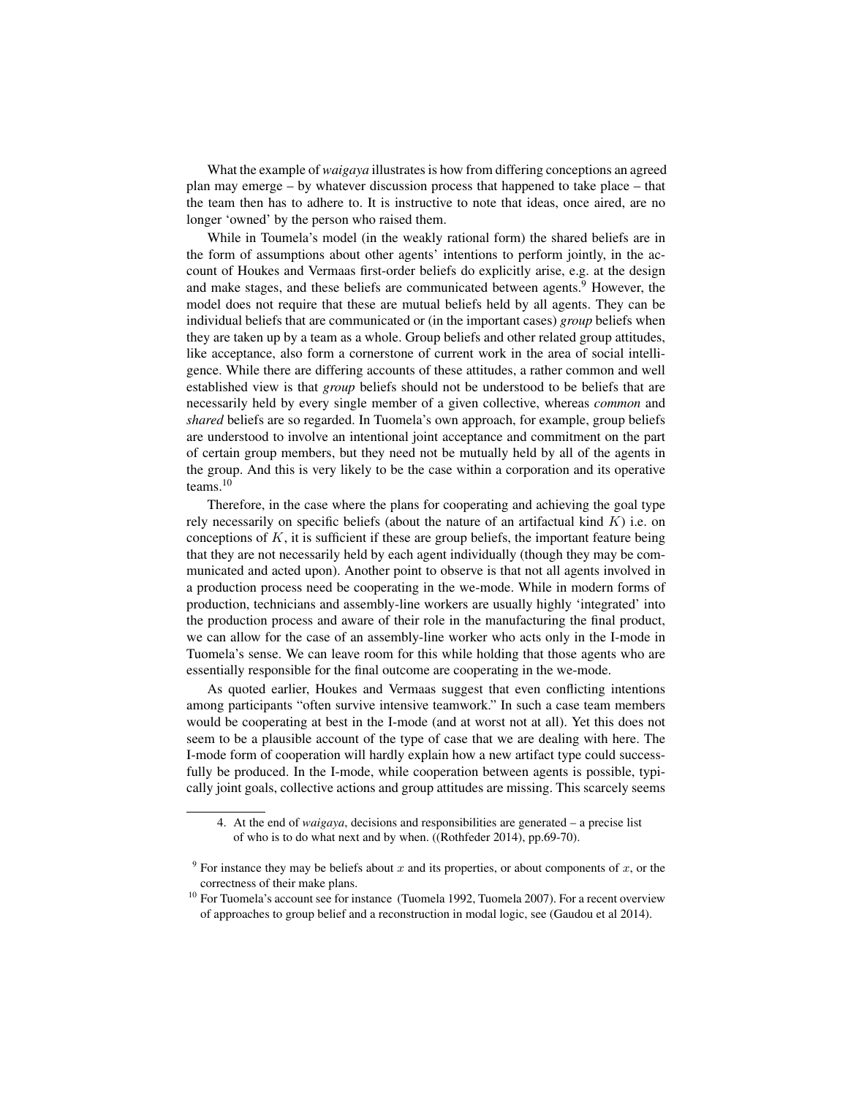What the example of *waigaya* illustrates is how from differing conceptions an agreed plan may emerge – by whatever discussion process that happened to take place – that the team then has to adhere to. It is instructive to note that ideas, once aired, are no longer 'owned' by the person who raised them.

While in Toumela's model (in the weakly rational form) the shared beliefs are in the form of assumptions about other agents' intentions to perform jointly, in the account of Houkes and Vermaas first-order beliefs do explicitly arise, e.g. at the design and make stages, and these beliefs are communicated between agents.<sup>9</sup> However, the model does not require that these are mutual beliefs held by all agents. They can be individual beliefs that are communicated or (in the important cases) *group* beliefs when they are taken up by a team as a whole. Group beliefs and other related group attitudes, like acceptance, also form a cornerstone of current work in the area of social intelligence. While there are differing accounts of these attitudes, a rather common and well established view is that *group* beliefs should not be understood to be beliefs that are necessarily held by every single member of a given collective, whereas *common* and *shared* beliefs are so regarded. In Tuomela's own approach, for example, group beliefs are understood to involve an intentional joint acceptance and commitment on the part of certain group members, but they need not be mutually held by all of the agents in the group. And this is very likely to be the case within a corporation and its operative teams.<sup>10</sup>

Therefore, in the case where the plans for cooperating and achieving the goal type rely necessarily on specific beliefs (about the nature of an artifactual kind  $K$ ) i.e. on conceptions of  $K$ , it is sufficient if these are group beliefs, the important feature being that they are not necessarily held by each agent individually (though they may be communicated and acted upon). Another point to observe is that not all agents involved in a production process need be cooperating in the we-mode. While in modern forms of production, technicians and assembly-line workers are usually highly 'integrated' into the production process and aware of their role in the manufacturing the final product, we can allow for the case of an assembly-line worker who acts only in the I-mode in Tuomela's sense. We can leave room for this while holding that those agents who are essentially responsible for the final outcome are cooperating in the we-mode.

As quoted earlier, Houkes and Vermaas suggest that even conflicting intentions among participants "often survive intensive teamwork." In such a case team members would be cooperating at best in the I-mode (and at worst not at all). Yet this does not seem to be a plausible account of the type of case that we are dealing with here. The I-mode form of cooperation will hardly explain how a new artifact type could successfully be produced. In the I-mode, while cooperation between agents is possible, typically joint goals, collective actions and group attitudes are missing. This scarcely seems

<sup>4.</sup> At the end of *waigaya*, decisions and responsibilities are generated – a precise list of who is to do what next and by when. ((Rothfeder 2014), pp.69-70).

<sup>&</sup>lt;sup>9</sup> For instance they may be beliefs about x and its properties, or about components of x, or the correctness of their make plans.

<sup>&</sup>lt;sup>10</sup> For Tuomela's account see for instance (Tuomela 1992, Tuomela 2007). For a recent overview of approaches to group belief and a reconstruction in modal logic, see (Gaudou et al 2014).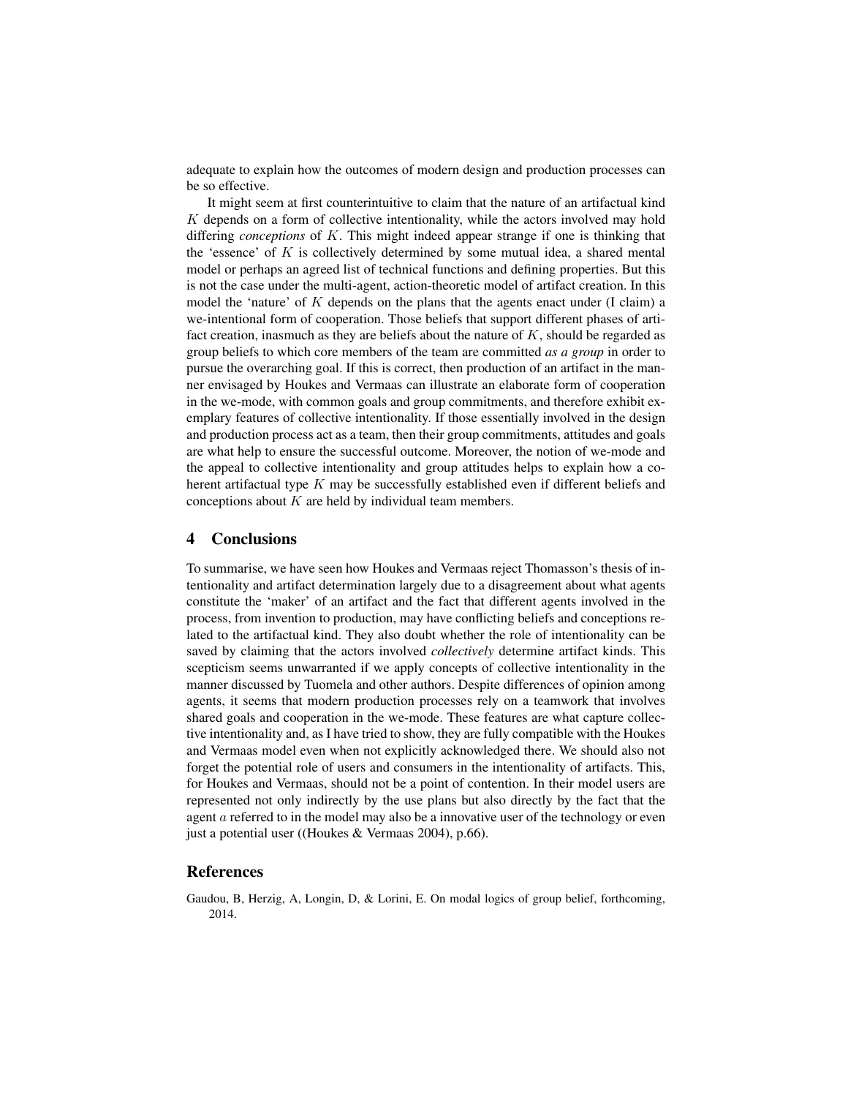adequate to explain how the outcomes of modern design and production processes can be so effective.

It might seem at first counterintuitive to claim that the nature of an artifactual kind  $K$  depends on a form of collective intentionality, while the actors involved may hold differing *conceptions* of K. This might indeed appear strange if one is thinking that the 'essence' of  $K$  is collectively determined by some mutual idea, a shared mental model or perhaps an agreed list of technical functions and defining properties. But this is not the case under the multi-agent, action-theoretic model of artifact creation. In this model the 'nature' of  $K$  depends on the plans that the agents enact under  $(I \text{ claim})$  a we-intentional form of cooperation. Those beliefs that support different phases of artifact creation, inasmuch as they are beliefs about the nature of  $K$ , should be regarded as group beliefs to which core members of the team are committed *as a group* in order to pursue the overarching goal. If this is correct, then production of an artifact in the manner envisaged by Houkes and Vermaas can illustrate an elaborate form of cooperation in the we-mode, with common goals and group commitments, and therefore exhibit exemplary features of collective intentionality. If those essentially involved in the design and production process act as a team, then their group commitments, attitudes and goals are what help to ensure the successful outcome. Moreover, the notion of we-mode and the appeal to collective intentionality and group attitudes helps to explain how a coherent artifactual type  $K$  may be successfully established even if different beliefs and conceptions about  $K$  are held by individual team members.

### 4 Conclusions

To summarise, we have seen how Houkes and Vermaas reject Thomasson's thesis of intentionality and artifact determination largely due to a disagreement about what agents constitute the 'maker' of an artifact and the fact that different agents involved in the process, from invention to production, may have conflicting beliefs and conceptions related to the artifactual kind. They also doubt whether the role of intentionality can be saved by claiming that the actors involved *collectively* determine artifact kinds. This scepticism seems unwarranted if we apply concepts of collective intentionality in the manner discussed by Tuomela and other authors. Despite differences of opinion among agents, it seems that modern production processes rely on a teamwork that involves shared goals and cooperation in the we-mode. These features are what capture collective intentionality and, as I have tried to show, they are fully compatible with the Houkes and Vermaas model even when not explicitly acknowledged there. We should also not forget the potential role of users and consumers in the intentionality of artifacts. This, for Houkes and Vermaas, should not be a point of contention. In their model users are represented not only indirectly by the use plans but also directly by the fact that the agent a referred to in the model may also be a innovative user of the technology or even just a potential user ((Houkes & Vermaas 2004), p.66).

#### References

Gaudou, B, Herzig, A, Longin, D, & Lorini, E. On modal logics of group belief, forthcoming, 2014.